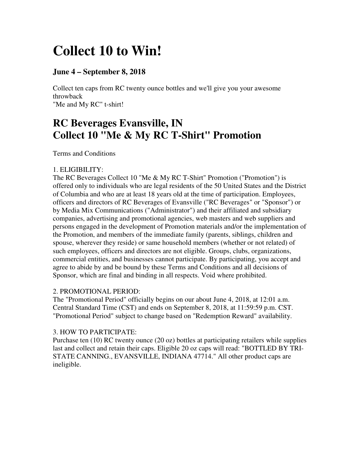# **Collect 10 to Win!**

# **June 4 – September 8, 2018**

Collect ten caps from RC twenty ounce bottles and we'll give you your awesome throwback "Me and My RC" t-shirt!

# **RC Beverages Evansville, IN Collect 10 "Me & My RC T-Shirt" Promotion**

Terms and Conditions

# 1. ELIGIBILITY:

The RC Beverages Collect 10 "Me & My RC T-Shirt" Promotion ("Promotion") is offered only to individuals who are legal residents of the 50 United States and the District of Columbia and who are at least 18 years old at the time of participation. Employees, officers and directors of RC Beverages of Evansville ("RC Beverages" or "Sponsor") or by Media Mix Communications ("Administrator") and their affiliated and subsidiary companies, advertising and promotional agencies, web masters and web suppliers and persons engaged in the development of Promotion materials and/or the implementation of the Promotion, and members of the immediate family (parents, siblings, children and spouse, wherever they reside) or same household members (whether or not related) of such employees, officers and directors are not eligible. Groups, clubs, organizations, commercial entities, and businesses cannot participate. By participating, you accept and agree to abide by and be bound by these Terms and Conditions and all decisions of Sponsor, which are final and binding in all respects. Void where prohibited.

### 2. PROMOTIONAL PERIOD:

The "Promotional Period" officially begins on our about June 4, 2018, at 12:01 a.m. Central Standard Time (CST) and ends on September 8, 2018, at 11:59:59 p.m. CST. "Promotional Period" subject to change based on "Redemption Reward" availability.

# 3. HOW TO PARTICIPATE:

Purchase ten (10) RC twenty ounce (20 oz) bottles at participating retailers while supplies last and collect and retain their caps. Eligible 20 oz caps will read: "BOTTLED BY TRI-STATE CANNING., EVANSVILLE, INDIANA 47714." All other product caps are ineligible.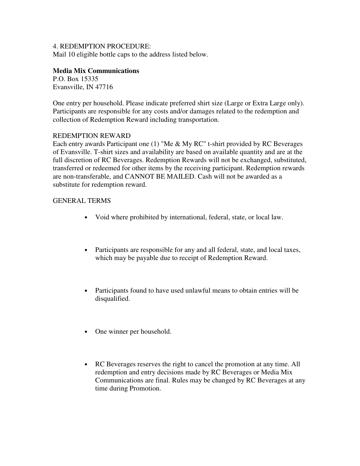#### 4. REDEMPTION PROCEDURE:

Mail 10 eligible bottle caps to the address listed below.

#### **Media Mix Communications**

P.O. Box 15335 Evansville, IN 47716

One entry per household. Please indicate preferred shirt size (Large or Extra Large only). Participants are responsible for any costs and/or damages related to the redemption and collection of Redemption Reward including transportation.

#### REDEMPTION REWARD

Each entry awards Participant one (1) "Me & My RC" t-shirt provided by RC Beverages of Evansville. T-shirt sizes and availability are based on available quantity and are at the full discretion of RC Beverages. Redemption Rewards will not be exchanged, substituted, transferred or redeemed for other items by the receiving participant. Redemption rewards are non-transferable, and CANNOT BE MAILED. Cash will not be awarded as a substitute for redemption reward.

#### GENERAL TERMS

- Void where prohibited by international, federal, state, or local law.
- Participants are responsible for any and all federal, state, and local taxes, which may be payable due to receipt of Redemption Reward.
- Participants found to have used unlawful means to obtain entries will be disqualified.
- One winner per household.
- RC Beverages reserves the right to cancel the promotion at any time. All redemption and entry decisions made by RC Beverages or Media Mix Communications are final. Rules may be changed by RC Beverages at any time during Promotion.